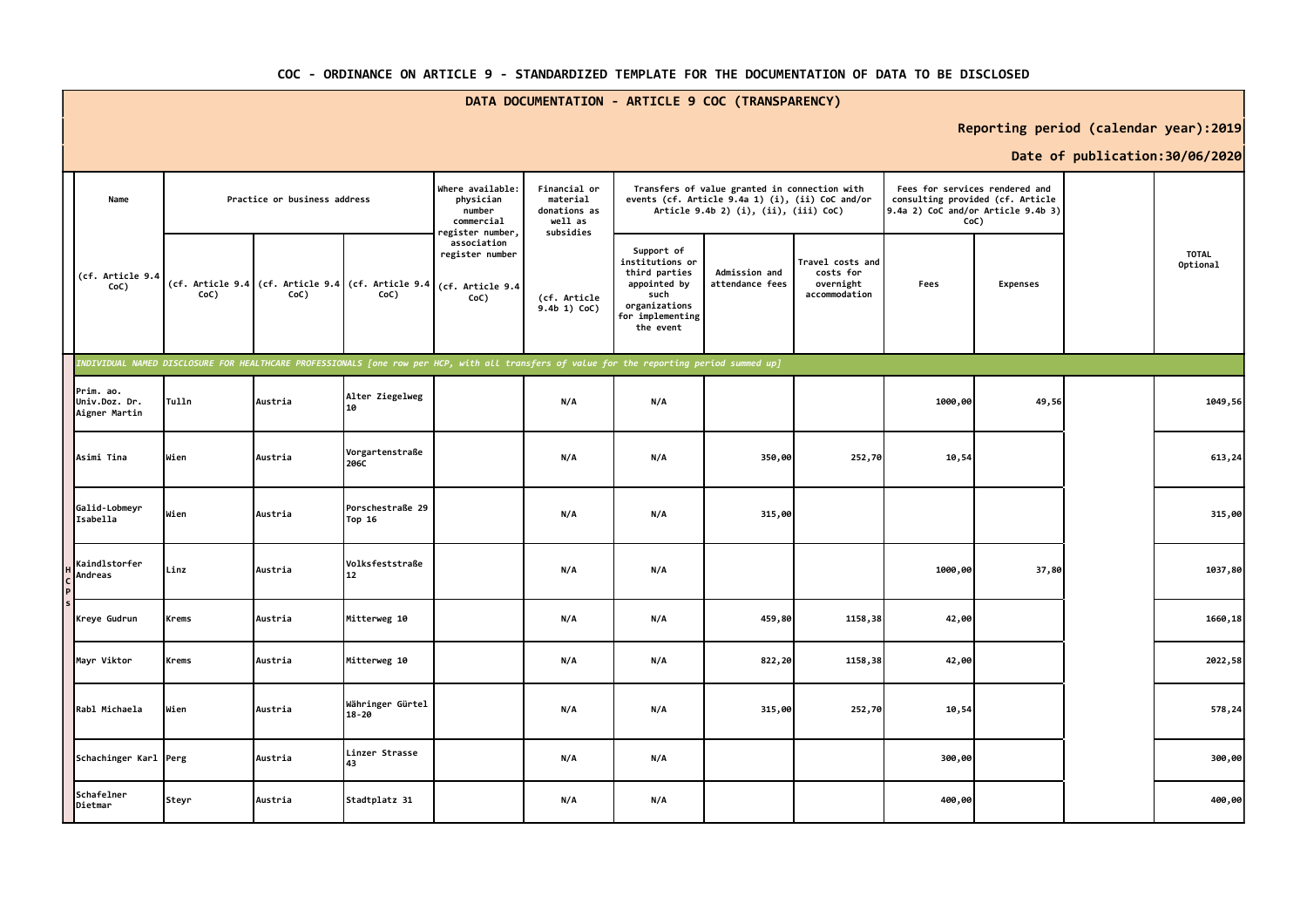|                                             | DATA DOCUMENTATION - ARTICLE 9 COC (TRANSPARENCY) |                              |         |                                                                          |                                                                                                                                                |                              |                                                                                                                                            |                                  |                                                             |                                                                    |                 |  |                                 |
|---------------------------------------------|---------------------------------------------------|------------------------------|---------|--------------------------------------------------------------------------|------------------------------------------------------------------------------------------------------------------------------------------------|------------------------------|--------------------------------------------------------------------------------------------------------------------------------------------|----------------------------------|-------------------------------------------------------------|--------------------------------------------------------------------|-----------------|--|---------------------------------|
|                                             | Reporting period (calendar year):2019             |                              |         |                                                                          |                                                                                                                                                |                              |                                                                                                                                            |                                  |                                                             |                                                                    |                 |  |                                 |
|                                             |                                                   |                              |         |                                                                          |                                                                                                                                                |                              |                                                                                                                                            |                                  |                                                             |                                                                    |                 |  | Date of publication: 30/06/2020 |
| Name                                        |                                                   | Practice or business address |         | Where available:<br>physician<br>number<br>commercial<br>egister number, | Financial or<br>material<br>donations as<br>well as<br>subsidies                                                                               |                              | Transfers of value granted in connection with<br>events (cf. Article 9.4a 1) (i), (ii) CoC and/or<br>Article 9.4b 2) (i), (ii), (iii) CoC) |                                  | 9.4a 2) CoC and/or Article 9.4b 3)<br>CoC)                  | Fees for services rendered and<br>consulting provided (cf. Article |                 |  |                                 |
| (cf. Article 9.4<br>CoC)                    |                                                   | CoC)                         | CoC)    | (cf. Article 9.4 (cf. Article 9.4 (cf. Article 9.4<br>CoC)               | association<br>register number<br>(cf. Article 9.4<br>CoC)                                                                                     | (cf. Article<br>9.4b 1) CoC) | Support of<br>institutions or<br>third parties<br>appointed by<br>such<br>organizations<br>for implementing<br>the event                   | Admission and<br>attendance fees | Travel costs and<br>costs for<br>overnight<br>accommodation | Fees                                                               | <b>Expenses</b> |  | <b>TOTAL</b><br>Optional        |
|                                             |                                                   |                              |         |                                                                          | .<br>NDIVIDUAL NAMED DISCLOSURE FOR HEALTHCARE PROFESSIONALS [one row per HCP, with all transfers of value for the reporting period summed up] |                              |                                                                                                                                            |                                  |                                                             |                                                                    |                 |  |                                 |
| Prim. ao.<br>Univ.Doz. Dr.<br>Aigner Martin |                                                   | Tulln                        | Austria | Alter Ziegelweg<br>10                                                    |                                                                                                                                                | N/A                          | N/A                                                                                                                                        |                                  |                                                             | 1000,00                                                            | 49,56           |  | 1049,56                         |
| Asimi Tina                                  |                                                   | Wien                         | Austria | Vorgartenstraße<br>206C                                                  |                                                                                                                                                | N/A                          | N/A                                                                                                                                        | 350,00                           | 252,70                                                      | 10,54                                                              |                 |  | 613,24                          |
| Galid-Lobmeyr<br>Isabella                   |                                                   | Wien                         | Austria | Porschestraße 29<br>Top 16                                               |                                                                                                                                                | N/A                          | N/A                                                                                                                                        | 315,00                           |                                                             |                                                                    |                 |  | 315,00                          |
| Kaindlstorfer<br>Andreas                    |                                                   | Linz                         | Austria | Volksfeststraße<br>12                                                    |                                                                                                                                                | N/A                          | N/A                                                                                                                                        |                                  |                                                             | 1000,00                                                            | 37,80           |  | 1037,80                         |
| Kreye Gudrun                                |                                                   | Krems                        | Austria | Mitterweg 10                                                             |                                                                                                                                                | N/A                          | N/A                                                                                                                                        | 459,80                           | 1158,38                                                     | 42,00                                                              |                 |  | 1660,18                         |
| Mayr Viktor                                 |                                                   | Krems                        | Austria | Mitterweg 10                                                             |                                                                                                                                                | N/A                          | N/A                                                                                                                                        | 822,20                           | 1158,38                                                     | 42,00                                                              |                 |  | 2022,58                         |
| Rabl Michaela                               |                                                   | Wien                         | Austria | Währinger Gürtel<br>18-20                                                |                                                                                                                                                | N/A                          | N/A                                                                                                                                        | 315,00                           | 252,70                                                      | 10,54                                                              |                 |  | 578,24                          |
|                                             | Schachinger Karl Perg                             |                              | Austria | Linzer Strasse<br>43                                                     |                                                                                                                                                | N/A                          | N/A                                                                                                                                        |                                  |                                                             | 300,00                                                             |                 |  | 300,00                          |
| Schafelner<br>Dietmar                       |                                                   | Steyr                        | Austria | Stadtplatz 31                                                            |                                                                                                                                                | N/A                          | N/A                                                                                                                                        |                                  |                                                             | 400,00                                                             |                 |  | 400,00                          |

## **COC - ORDINANCE ON ARTICLE 9 - STANDARDIZED TEMPLATE FOR THE DOCUMENTATION OF DATA TO BE DISCLOSED**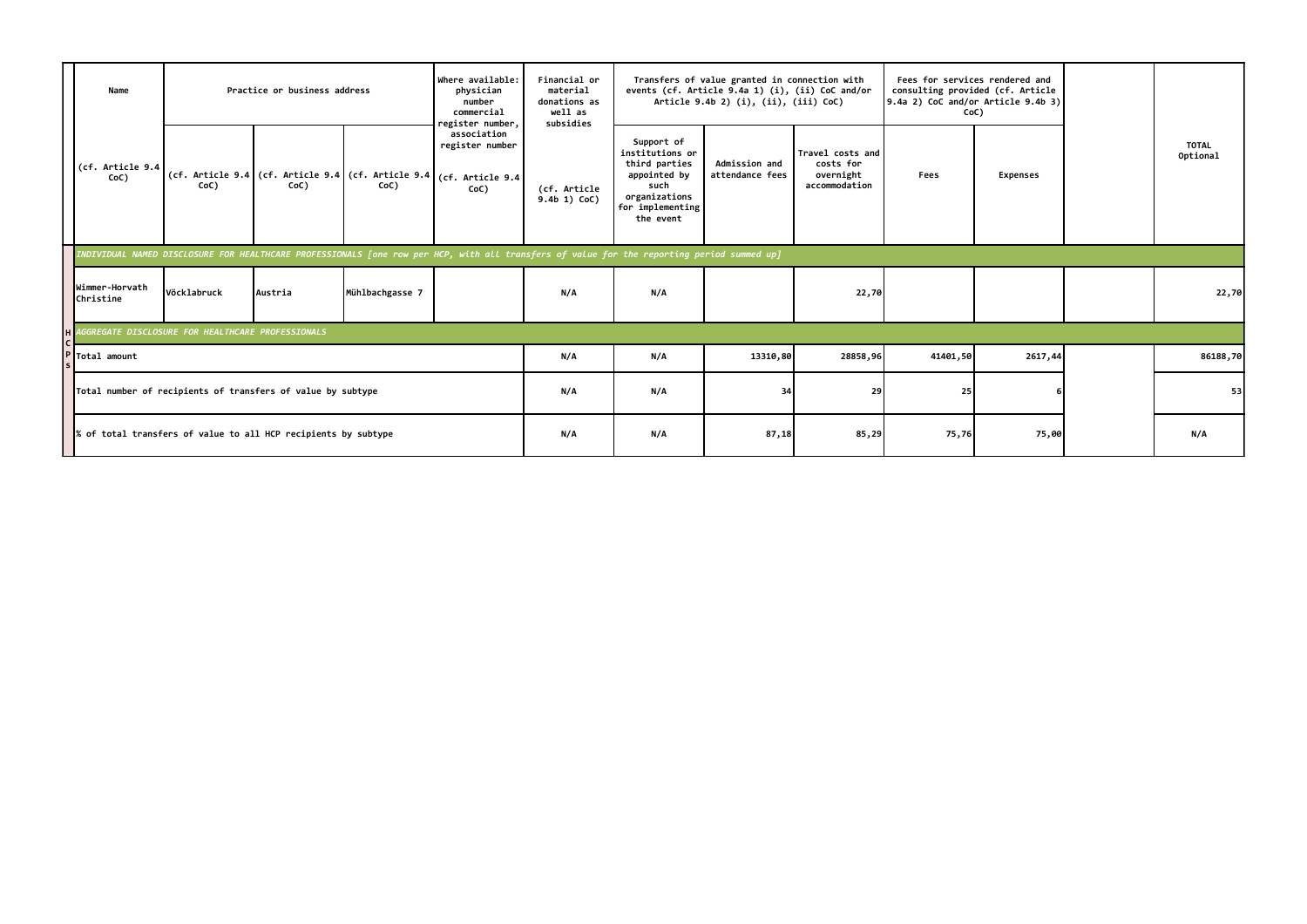|                                                                             | Practice or business address<br>Name                                                                                                       |             |         | Where available:<br>Financial or<br>material<br>physician<br>number<br>donations as<br>well as<br>commercial<br>subsidies<br>register number, |                                                             |                                | Transfers of value granted in connection with<br>events (cf. Article 9.4a 1) (i), (ii) CoC and/or<br>Article 9.4b 2) (i), (ii), (iii) CoC) |                                         |                                                             | Fees for services rendered and<br>consulting provided (cf. Article<br>9.4a 2) CoC and/or Article 9.4b 3)<br>CoC) |                 |                          |
|-----------------------------------------------------------------------------|--------------------------------------------------------------------------------------------------------------------------------------------|-------------|---------|-----------------------------------------------------------------------------------------------------------------------------------------------|-------------------------------------------------------------|--------------------------------|--------------------------------------------------------------------------------------------------------------------------------------------|-----------------------------------------|-------------------------------------------------------------|------------------------------------------------------------------------------------------------------------------|-----------------|--------------------------|
|                                                                             | (cf. Article 9.4<br>CoC)                                                                                                                   | CoC)        | CoC)    | (cf. Article 9.4 (cf. Article 9.4 (cf. Article 9.4<br>CoC)                                                                                    | association<br>register number<br>(cf. Article 9.4)<br>CoC) | (cf. Article<br>$9.4b$ 1) CoC) | Support of<br>institutions or<br>third parties<br>appointed by<br>such<br>organizations<br>for implementing<br>the event                   | <b>Admission and</b><br>attendance fees | Travel costs and<br>costs for<br>overnight<br>accommodation | Fees                                                                                                             | <b>Expenses</b> | <b>TOTAL</b><br>Optional |
|                                                                             | INDIVIDUAL NAMED DISCLOSURE FOR HEALTHCARE PROFESSIONALS [one row per HCP, with all transfers of value for the reporting period summed up] |             |         |                                                                                                                                               |                                                             |                                |                                                                                                                                            |                                         |                                                             |                                                                                                                  |                 |                          |
|                                                                             | Wimmer-Horvath<br>Christine                                                                                                                | Vöcklabruck | Austria | Mühlbachgasse 7                                                                                                                               |                                                             | N/A                            | N/A                                                                                                                                        |                                         | 22,70                                                       |                                                                                                                  |                 | 22,70                    |
|                                                                             | H AGGREGATE DISCLOSURE FOR HEALTHCARE PROFESSIONALS                                                                                        |             |         |                                                                                                                                               |                                                             |                                |                                                                                                                                            |                                         |                                                             |                                                                                                                  |                 |                          |
| Total amount<br>Total number of recipients of transfers of value by subtype |                                                                                                                                            |             |         |                                                                                                                                               | N/A                                                         | N/A                            | 13310,80                                                                                                                                   | 28858,96                                | 41401,50                                                    | 2617,44                                                                                                          | 86188,70        |                          |
|                                                                             |                                                                                                                                            |             |         |                                                                                                                                               | N/A                                                         | N/A                            | 34                                                                                                                                         | 29                                      | 25                                                          |                                                                                                                  | 53              |                          |
|                                                                             | % of total transfers of value to all HCP recipients by subtype                                                                             |             |         |                                                                                                                                               |                                                             | N/A                            | N/A                                                                                                                                        | 87,18                                   | 85,29                                                       | 75,76                                                                                                            | 75,00           | N/A                      |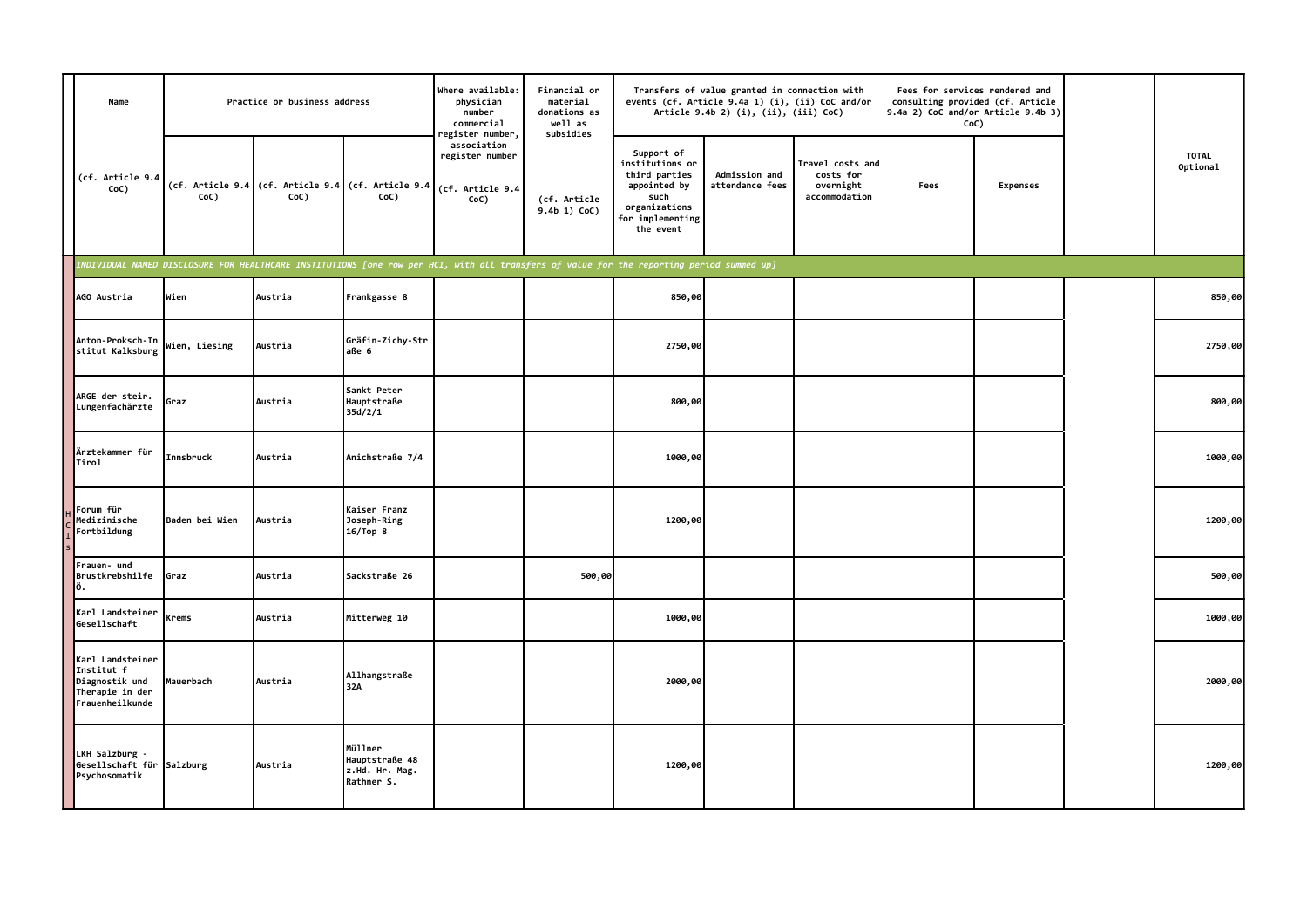| Name                                                                                   | Practice or business address |         |                                                            | Where available:<br>physician<br>number<br>commercial<br>egister number,                                                                  | Financial or<br>material<br>donations as<br>well as<br>subsidies |                                                                                                                          | Transfers of value granted in connection with<br>events (cf. Article 9.4a 1) (i), (ii) CoC and/or<br>Article 9.4b 2) (i), (ii), (iii) CoC) |                                                             | Fees for services rendered and<br>consulting provided (cf. Article<br>9.4a 2) CoC and/or Article 9.4b 3)<br>CoC) |                 |  |                          |
|----------------------------------------------------------------------------------------|------------------------------|---------|------------------------------------------------------------|-------------------------------------------------------------------------------------------------------------------------------------------|------------------------------------------------------------------|--------------------------------------------------------------------------------------------------------------------------|--------------------------------------------------------------------------------------------------------------------------------------------|-------------------------------------------------------------|------------------------------------------------------------------------------------------------------------------|-----------------|--|--------------------------|
| (cf. Article 9.4<br>CoC)                                                               | CoC)                         | CoC)    | (cf. Article 9.4 (cf. Article 9.4 (cf. Article 9.4<br>CoC) | association<br>register number<br>(cf. Article 9.4<br>CoC)                                                                                | (cf. Article<br>9.4b 1) CoC)                                     | Support of<br>institutions or<br>third parties<br>appointed by<br>such<br>organizations<br>for implementing<br>the event | Admission and<br>attendance fees                                                                                                           | Travel costs and<br>costs for<br>overnight<br>accommodation | Fees                                                                                                             | <b>Expenses</b> |  | <b>TOTAL</b><br>Optional |
|                                                                                        |                              |         |                                                            | INDIVIDUAL NAMED DISCLOSURE FOR HEALTHCARE INSTITUTIONS [one row per HCI, with all transfers of value for the reporting period summed up] |                                                                  |                                                                                                                          |                                                                                                                                            |                                                             |                                                                                                                  |                 |  |                          |
| AGO Austria                                                                            | Wien                         | Austria | Frankgasse 8                                               |                                                                                                                                           |                                                                  | 850,00                                                                                                                   |                                                                                                                                            |                                                             |                                                                                                                  |                 |  | 850,00                   |
| Anton-Proksch-In<br>stitut Kalksburg                                                   | Wien, Liesing                | Austria | Gräfin-Zichy-Str<br>aße 6                                  |                                                                                                                                           |                                                                  | 2750,00                                                                                                                  |                                                                                                                                            |                                                             |                                                                                                                  |                 |  | 2750,00                  |
| ARGE der steir.<br>Lungenfachärzte                                                     | Graz                         | Austria | Sankt Peter<br>Hauptstraße<br>35d/2/1                      |                                                                                                                                           |                                                                  | 800,00                                                                                                                   |                                                                                                                                            |                                                             |                                                                                                                  |                 |  | 800,00                   |
| Ärztekammer für<br>Tirol                                                               | Innsbruck                    | Austria | Anichstraße 7/4                                            |                                                                                                                                           |                                                                  | 1000,00                                                                                                                  |                                                                                                                                            |                                                             |                                                                                                                  |                 |  | 1000,00                  |
| Forum für<br>Medizinische<br>Fortbildung                                               | Baden bei Wien               | Austria | Kaiser Franz<br>Joseph-Ring<br>16/Top <sub>8</sub>         |                                                                                                                                           |                                                                  | 1200,00                                                                                                                  |                                                                                                                                            |                                                             |                                                                                                                  |                 |  | 1200,00                  |
| Frauen- und<br>Brustkrebshilfe<br>Ιö.                                                  | Graz                         | Austria | Sackstraße 26                                              |                                                                                                                                           | 500,00                                                           |                                                                                                                          |                                                                                                                                            |                                                             |                                                                                                                  |                 |  | 500,00                   |
| Karl Landsteiner<br>Gesellschaft                                                       | Krems                        | Austria | Mitterweg 10                                               |                                                                                                                                           |                                                                  | 1000,00                                                                                                                  |                                                                                                                                            |                                                             |                                                                                                                  |                 |  | 1000,00                  |
| Karl Landsteiner<br>Institut f<br>Diagnostik und<br>Therapie in der<br>Frauenheilkunde | Mauerbach                    | Austria | Allhangstraße<br>32A                                       |                                                                                                                                           |                                                                  | 2000,00                                                                                                                  |                                                                                                                                            |                                                             |                                                                                                                  |                 |  | 2000,00                  |
| LKH Salzburg -<br>Gesellschaft für<br>Psychosomatik                                    | Salzburg                     | Austria | Müllner<br>Hauptstraße 48<br>z.Hd. Hr. Mag.<br>Rathner S.  |                                                                                                                                           |                                                                  | 1200,00                                                                                                                  |                                                                                                                                            |                                                             |                                                                                                                  |                 |  | 1200,00                  |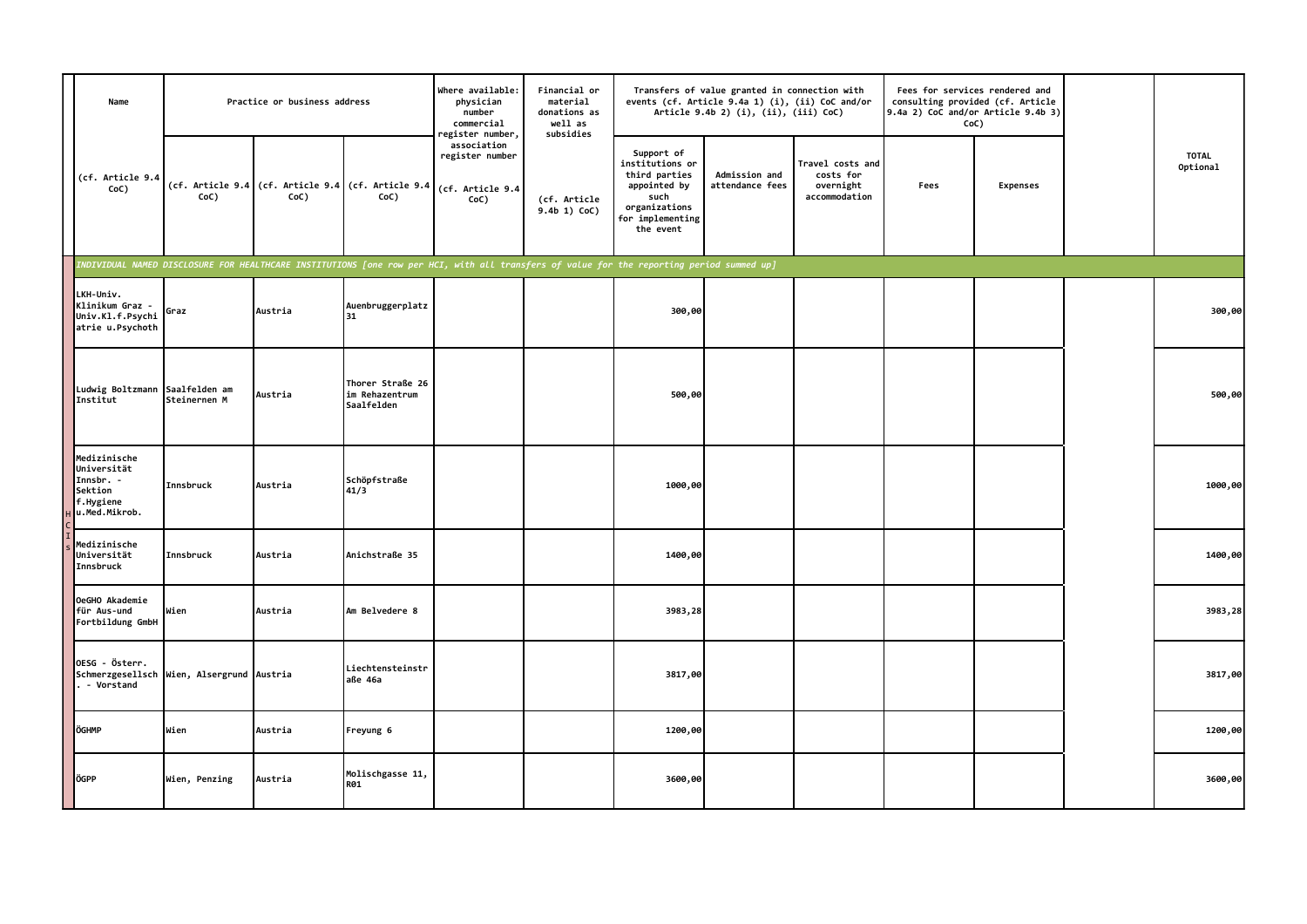| Name                                                                              | Practice or business address              |         |                                                            | Where available:<br>physician<br>number<br>commercial<br>egister number,                                                                  | Financial or<br>material<br>donations as<br>well as<br>subsidies |                                                                                                                          | Transfers of value granted in connection with<br>events (cf. Article 9.4a 1) (i), (ii) CoC and/or<br>Article 9.4b 2) (i), (ii), (iii) CoC) |                                                             | Fees for services rendered and<br>consulting provided (cf. Article<br>$9.4a$ 2) CoC and/or Article $9.4b$ 3)<br>CoC) |                 |  |                          |
|-----------------------------------------------------------------------------------|-------------------------------------------|---------|------------------------------------------------------------|-------------------------------------------------------------------------------------------------------------------------------------------|------------------------------------------------------------------|--------------------------------------------------------------------------------------------------------------------------|--------------------------------------------------------------------------------------------------------------------------------------------|-------------------------------------------------------------|----------------------------------------------------------------------------------------------------------------------|-----------------|--|--------------------------|
| (cf. Article 9.4<br>CoC)                                                          | CoC)                                      | CoC)    | (cf. Article 9.4 (cf. Article 9.4 (cf. Article 9.4<br>CoC) | association<br>register number<br>(cf. Article 9.4<br>CoC)                                                                                | (cf. Article<br>9.4b 1) CoC)                                     | Support of<br>institutions or<br>third parties<br>appointed by<br>such<br>organizations<br>for implementing<br>the event | Admission and<br>attendance fees                                                                                                           | Travel costs and<br>costs for<br>overnight<br>accommodation | Fees                                                                                                                 | <b>Expenses</b> |  | <b>TOTAL</b><br>Optional |
|                                                                                   |                                           |         |                                                            | INDIVIDUAL NAMED DISCLOSURE FOR HEALTHCARE INSTITUTIONS [one row per HCI, with all transfers of value for the reporting period summed up] |                                                                  |                                                                                                                          |                                                                                                                                            |                                                             |                                                                                                                      |                 |  |                          |
| LKH-Univ.<br>Klinikum Graz -<br>Univ.Kl.f.Psychi<br>atrie u.Psychoth              | Graz                                      | Austria | Auenbruggerplatz<br>31                                     |                                                                                                                                           |                                                                  | 300,00                                                                                                                   |                                                                                                                                            |                                                             |                                                                                                                      |                 |  | 300,00                   |
| Ludwig Boltzmann Saalfelden am<br>Institut                                        | Steinernen M                              | Austria | Thorer Straße 26<br>im Rehazentrum<br>Saalfelden           |                                                                                                                                           |                                                                  | 500,00                                                                                                                   |                                                                                                                                            |                                                             |                                                                                                                      |                 |  | 500,00                   |
| Medizinische<br>Universität<br>Innsbr. -<br>Sektion<br>f.Hygiene<br>u.Med.Mikrob. | Innsbruck                                 | Austria | Schöpfstraße<br>41/3                                       |                                                                                                                                           |                                                                  | 1000,00                                                                                                                  |                                                                                                                                            |                                                             |                                                                                                                      |                 |  | 1000,00                  |
| Medizinische<br>Universität<br>Innsbruck                                          | Innsbruck                                 | Austria | Anichstraße 35                                             |                                                                                                                                           |                                                                  | 1400,00                                                                                                                  |                                                                                                                                            |                                                             |                                                                                                                      |                 |  | 1400,00                  |
| OeGHO Akademie<br>für Aus-und<br>Fortbildung GmbH                                 | Wien                                      | Austria | Am Belvedere 8                                             |                                                                                                                                           |                                                                  | 3983,28                                                                                                                  |                                                                                                                                            |                                                             |                                                                                                                      |                 |  | 3983,28                  |
| OESG - Österr.<br>. - Vorstand                                                    | Schmerzgesellsch Wien, Alsergrund Austria |         | Liechtensteinstr<br>aße 46a                                |                                                                                                                                           |                                                                  | 3817,00                                                                                                                  |                                                                                                                                            |                                                             |                                                                                                                      |                 |  | 3817,00                  |
| ÖGHMP                                                                             | Wien                                      | Austria | Freyung 6                                                  |                                                                                                                                           |                                                                  | 1200,00                                                                                                                  |                                                                                                                                            |                                                             |                                                                                                                      |                 |  | 1200,00                  |
| ÖGPP                                                                              | Wien, Penzing                             | Austria | Molischgasse 11,<br><b>R01</b>                             |                                                                                                                                           |                                                                  | 3600,00                                                                                                                  |                                                                                                                                            |                                                             |                                                                                                                      |                 |  | 3600,00                  |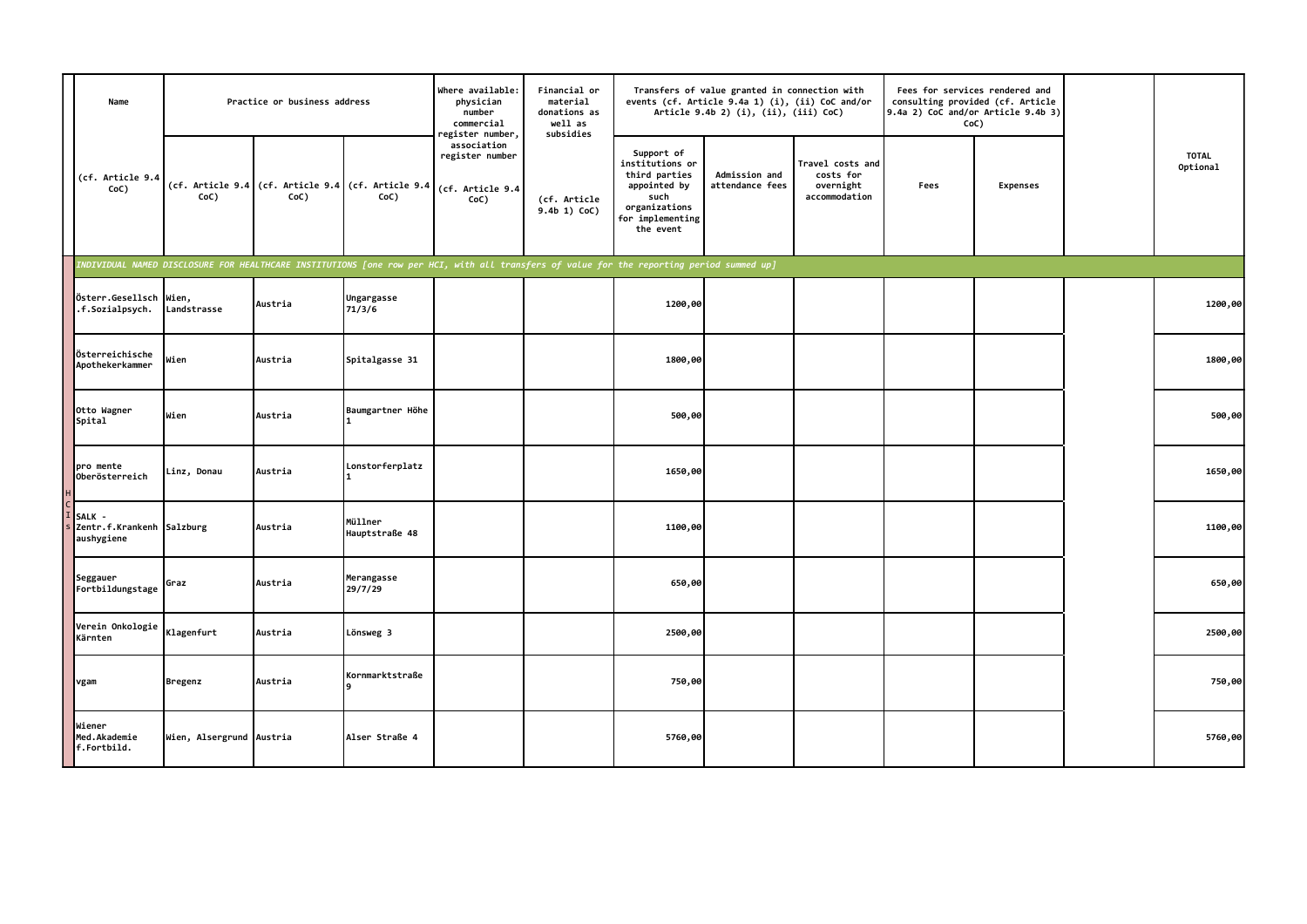| Name                                     |                          | Practice or business address |                                                                             | Where available:<br>physician<br>number<br>commercial<br>register number,                                                                 | Financial or<br>material<br>donations as<br>well as<br>subsidies |                                                                                                                          | Transfers of value granted in connection with<br>events (cf. Article 9.4a 1) (i), (ii) CoC and/or<br>Article 9.4b 2) (i), (ii), (iii) CoC) |                                                             | $9.4a$ 2) CoC and/or Article $9.4b$ 3)<br>CoC) | Fees for services rendered and<br>consulting provided (cf. Article |  |                          |
|------------------------------------------|--------------------------|------------------------------|-----------------------------------------------------------------------------|-------------------------------------------------------------------------------------------------------------------------------------------|------------------------------------------------------------------|--------------------------------------------------------------------------------------------------------------------------|--------------------------------------------------------------------------------------------------------------------------------------------|-------------------------------------------------------------|------------------------------------------------|--------------------------------------------------------------------|--|--------------------------|
| (cf. Article 9.4<br>CoC)                 | CoC)                     | CoC)                         | (cf. Article 9.4 (cf. Article 9.4 (cf. Article 9.4 (cf. Article 9.4<br>CoC) | association<br>register number<br>CoC)                                                                                                    | (cf. Article<br>$9.4b$ 1) CoC)                                   | Support of<br>institutions or<br>third parties<br>appointed by<br>such<br>organizations<br>for implementing<br>the event | Admission and<br>attendance fees                                                                                                           | Travel costs and<br>costs for<br>overnight<br>accommodation | Fees                                           | <b>Expenses</b>                                                    |  | <b>TOTAL</b><br>Optional |
|                                          |                          |                              |                                                                             | INDIVIDUAL NAMED DISCLOSURE FOR HEALTHCARE INSTITUTIONS [one row per HCI, with all transfers of value for the reporting period summed up] |                                                                  |                                                                                                                          |                                                                                                                                            |                                                             |                                                |                                                                    |  |                          |
| Österr.Gesellsch<br>.f.Sozialpsych.      | Wien,<br>Landstrasse     | Austria                      | Ungargasse<br>71/3/6                                                        |                                                                                                                                           |                                                                  | 1200,00                                                                                                                  |                                                                                                                                            |                                                             |                                                |                                                                    |  | 1200,00                  |
| Österreichische<br>Apothekerkammer       | Wien                     | Austria                      | Spitalgasse 31                                                              |                                                                                                                                           |                                                                  | 1800,00                                                                                                                  |                                                                                                                                            |                                                             |                                                |                                                                    |  | 1800,00                  |
| Otto Wagner<br>Spital                    | Wien                     | Austria                      | Baumgartner Höhe                                                            |                                                                                                                                           |                                                                  | 500,00                                                                                                                   |                                                                                                                                            |                                                             |                                                |                                                                    |  | 500,00                   |
| pro mente<br>Oberösterreich              | Linz, Donau              | Austria                      | Lonstorferplatz                                                             |                                                                                                                                           |                                                                  | 1650,00                                                                                                                  |                                                                                                                                            |                                                             |                                                |                                                                    |  | 1650,00                  |
| SALK -<br>Zentr.f.Krankenh<br>aushygiene | Salzburg                 | Austria                      | Müllner<br>Hauptstraße 48                                                   |                                                                                                                                           |                                                                  | 1100,00                                                                                                                  |                                                                                                                                            |                                                             |                                                |                                                                    |  | 1100,00                  |
| Seggauer<br>Fortbildungstage             | Graz                     | Austria                      | Merangasse<br>29/7/29                                                       |                                                                                                                                           |                                                                  | 650,00                                                                                                                   |                                                                                                                                            |                                                             |                                                |                                                                    |  | 650,00                   |
| Verein Onkologie<br>Kärnten              | Klagenfurt               | Austria                      | Lönsweg 3                                                                   |                                                                                                                                           |                                                                  | 2500,00                                                                                                                  |                                                                                                                                            |                                                             |                                                |                                                                    |  | 2500,00                  |
| vgam                                     | <b>Bregenz</b>           | Austria                      | Kornmarktstraße                                                             |                                                                                                                                           |                                                                  | 750,00                                                                                                                   |                                                                                                                                            |                                                             |                                                |                                                                    |  | 750,00                   |
| Wiener<br>Med.Akademie<br>f.Fortbild.    | Wien, Alsergrund Austria |                              | Alser Straße 4                                                              |                                                                                                                                           |                                                                  | 5760,00                                                                                                                  |                                                                                                                                            |                                                             |                                                |                                                                    |  | 5760,00                  |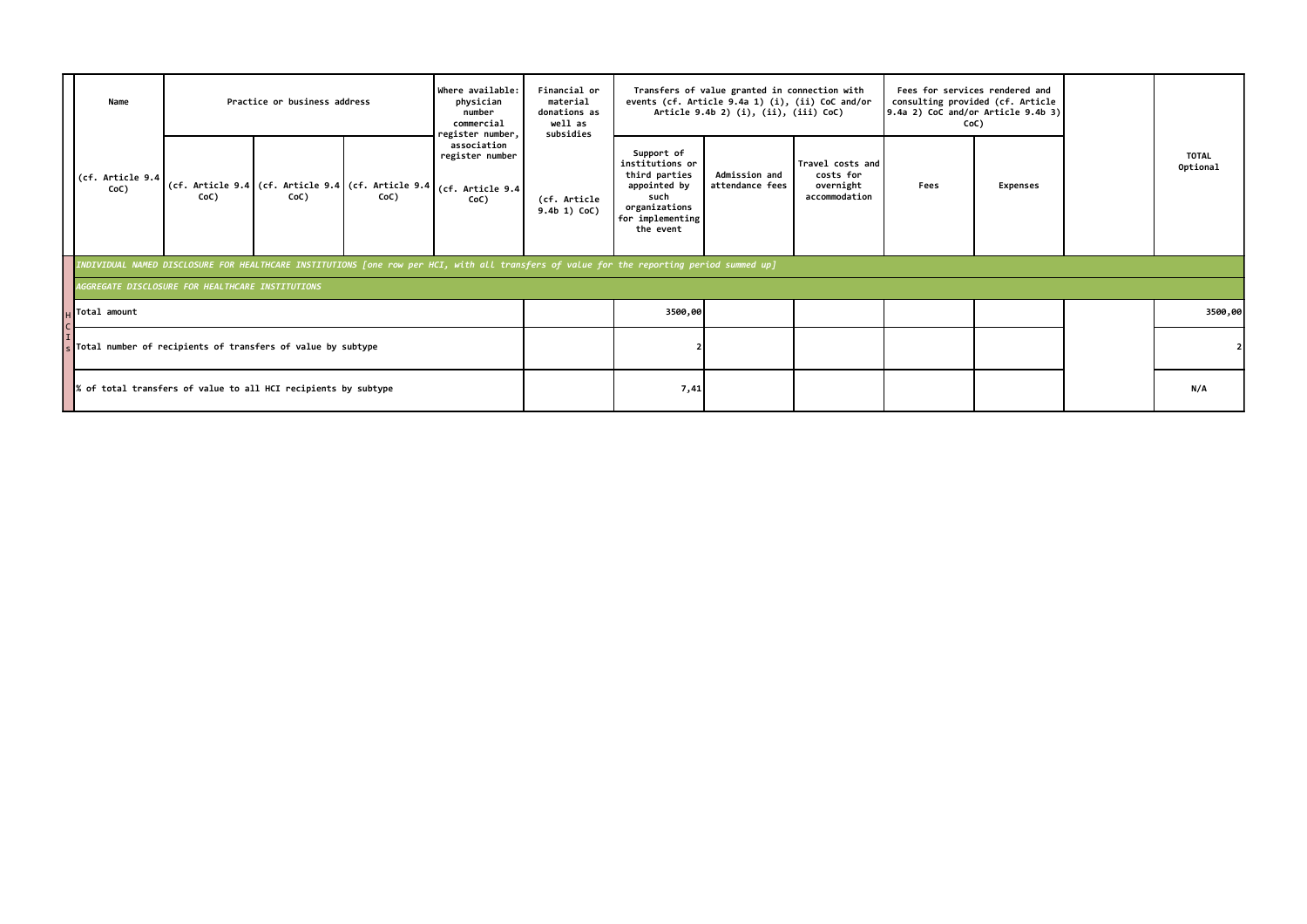|  | Name                                                                                                                                                             |                                                  | Practice or business address |                                                                                                                                           | Where available:<br>Financial or<br>physician<br>material<br>donations as<br>number<br>well as<br>commercial<br>register number,<br>subsidies |                                |                                                                                                                          | Transfers of value granted in connection with<br>events (cf. Article 9.4a 1) (i), (ii) CoC and/or<br>Article 9.4b 2) (i), (ii), (iii) CoC) |                                                             |      | Fees for services rendered and<br>consulting provided (cf. Article<br>$9.4a$ 2) CoC and/or Article $9.4b$ 3)<br>CoC) |                          |
|--|------------------------------------------------------------------------------------------------------------------------------------------------------------------|--------------------------------------------------|------------------------------|-------------------------------------------------------------------------------------------------------------------------------------------|-----------------------------------------------------------------------------------------------------------------------------------------------|--------------------------------|--------------------------------------------------------------------------------------------------------------------------|--------------------------------------------------------------------------------------------------------------------------------------------|-------------------------------------------------------------|------|----------------------------------------------------------------------------------------------------------------------|--------------------------|
|  | (cf. Article 9.4<br>CoC)                                                                                                                                         | CoC)                                             | CoC)                         | CoC)                                                                                                                                      | association<br>register number<br>(cf. Article 9.4 (cf. Article 9.4 (cf. Article 9.4 (cf. Article 9.4)<br>CoC)                                | (cf. Article<br>$9.4b$ 1) CoC) | Support of<br>institutions or<br>third parties<br>appointed by<br>such<br>organizations<br>for implementing<br>the event | <b>Admission and</b><br>attendance fees                                                                                                    | Travel costs and<br>costs for<br>overnight<br>accommodation | Fees | <b>Expenses</b>                                                                                                      | <b>TOTAL</b><br>Optional |
|  |                                                                                                                                                                  |                                                  |                              | INDIVIDUAL NAMED DISCLOSURE FOR HEALTHCARE INSTITUTIONS [one row per HCI, with all transfers of value for the reporting period summed up] |                                                                                                                                               |                                |                                                                                                                          |                                                                                                                                            |                                                             |      |                                                                                                                      |                          |
|  |                                                                                                                                                                  | AGGREGATE DISCLOSURE FOR HEALTHCARE INSTITUTIONS |                              |                                                                                                                                           |                                                                                                                                               |                                |                                                                                                                          |                                                                                                                                            |                                                             |      |                                                                                                                      |                          |
|  | $\mathsf{u}$ Total amount<br>s Total number of recipients of transfers of value by subtype<br>$\ %$ of total transfers of value to all HCI recipients by subtype |                                                  |                              |                                                                                                                                           |                                                                                                                                               |                                | 3500,00                                                                                                                  |                                                                                                                                            |                                                             |      |                                                                                                                      | 3500,00                  |
|  |                                                                                                                                                                  |                                                  |                              |                                                                                                                                           |                                                                                                                                               |                                |                                                                                                                          |                                                                                                                                            |                                                             |      |                                                                                                                      |                          |
|  |                                                                                                                                                                  |                                                  |                              |                                                                                                                                           |                                                                                                                                               |                                | 7,41                                                                                                                     |                                                                                                                                            |                                                             |      |                                                                                                                      | N/A                      |